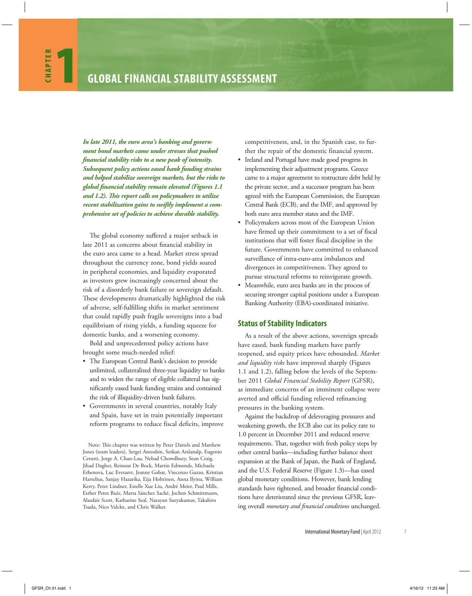*In late 2011, the euro area's banking and government bond markets came under stresses that pushed financial stability risks to a new peak of intensity. Subsequent policy actions eased bank funding strains and helped stabilize sovereign markets, but the risks to global financial stability remain elevated (Figures 1.1 and 1.2). This report calls on policymakers to utilize recent stabilization gains to swiftly implement a comprehensive set of policies to achieve durable stability.* 

The global economy suffered a major setback in late 2011 as concerns about financial stability in the euro area came to a head. Market stress spread throughout the currency zone, bond yields soared in peripheral economies, and liquidity evaporated as investors grew increasingly concerned about the risk of a disorderly bank failure or sovereign default. These developments dramatically highlighted the risk of adverse, self-fulfilling shifts in market sentiment that could rapidly push fragile sovereigns into a bad equilibrium of rising yields, a funding squeeze for domestic banks, and a worsening economy.

Bold and unprecedented policy actions have brought some much-needed relief:

- The European Central Bank's decision to provide unlimited, collateralized three-year liquidity to banks and to widen the range of eligible collateral has significantly eased bank funding strains and contained the risk of illiquidity-driven bank failures.
- Governments in several countries, notably Italy and Spain, have set in train potentially important reform programs to reduce fiscal deficits, improve

Note: This chapter was written by Peter Dattels and Matthew Jones (team leaders), Sergei Antoshin, Serkan Arslanalp, Eugenio Cerutti, Jorge A. Chan-Lau, Nehad Chowdhury, Sean Craig, Jihad Dagher, Reinout De Bock, Martin Edmonds, Michaela Erbenova, Luc Everaert, Jeanne Gobat, Vincenzo Guzzo, Kristian Hartelius, Sanjay Hazarika, Eija Holttinen, Anna Ilyina, William Kerry, Peter Lindner, Estelle Xue Liu, André Meier, Paul Mills, Esther Perez Ruiz, Marta Sánchez Saché, Jochen Schmittmann, Alasdair Scott, Katharine Seal, Narayan Suryakumar, Takahiro Tsuda, Nico Valckx, and Chris Walker.

competitiveness, and, in the Spanish case, to further the repair of the domestic financial system.

- Ireland and Portugal have made good progress in implementing their adjustment programs. Greece came to a major agreement to restructure debt held by the private sector, and a successor program has been agreed with the European Commission, the European Central Bank (ECB), and the IMF, and approved by both euro area member states and the IMF.
- Policymakers across most of the European Union have firmed up their commitment to a set of fiscal institutions that will foster fiscal discipline in the future. Governments have committed to enhanced surveillance of intra-euro-area imbalances and divergences in competitiveness. They agreed to pursue structural reforms to reinvigorate growth.
- Meanwhile, euro area banks are in the process of securing stronger capital positions under a European Banking Authority (EBA)-coordinated initiative.

# **Status of Stability Indicators**

As a result of the above actions, sovereign spreads have eased, bank funding markets have partly reopened, and equity prices have rebounded. *Market and liquidity risks* have improved sharply (Figures 1.1 and 1.2), falling below the levels of the September 2011 *Global Financial Stability Report* (GFSR), as immediate concerns of an imminent collapse were averted and official funding relieved refinancing pressures in the banking system.

Against the backdrop of deleveraging pressures and weakening growth, the ECB also cut its policy rate to 1.0 percent in December 2011 and reduced reserve requirements. That, together with fresh policy steps by other central banks—including further balance sheet expansion at the Bank of Japan, the Bank of England, and the U.S. Federal Reserve (Figure 1.3)—has eased global monetary conditions. However, bank lending standards have tightened, and broader financial conditions have deteriorated since the previous GFSR, leaving overall *monetary and financial conditions* unchanged.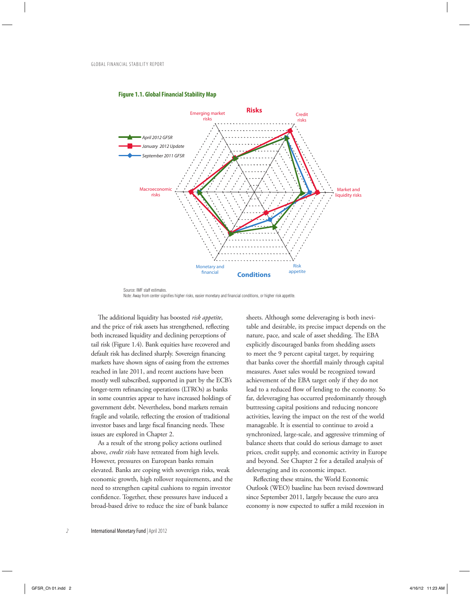

**Figure 1.1. Global Financial Stability Map**

Source: IMF staff estimates. Note: Away from center signifies higher risks, easier monetary and financial conditions, or higher risk appetite.

The additional liquidity has boosted *risk appetite*, and the price of risk assets has strengthened, reflecting both increased liquidity and declining perceptions of tail risk (Figure 1.4). Bank equities have recovered and default risk has declined sharply. Sovereign financing markets have shown signs of easing from the extremes reached in late 2011, and recent auctions have been mostly well subscribed, supported in part by the ECB's longer-term refinancing operations (LTROs) as banks in some countries appear to have increased holdings of government debt. Nevertheless, bond markets remain fragile and volatile, reflecting the erosion of traditional investor bases and large fiscal financing needs. These issues are explored in Chapter 2.

As a result of the strong policy actions outlined above, *credit risks* have retreated from high levels. However, pressures on European banks remain elevated. Banks are coping with sovereign risks, weak economic growth, high rollover requirements, and the need to strengthen capital cushions to regain investor confidence. Together, these pressures have induced a broad-based drive to reduce the size of bank balance

sheets. Although some deleveraging is both inevitable and desirable, its precise impact depends on the nature, pace, and scale of asset shedding. The EBA explicitly discouraged banks from shedding assets to meet the 9 percent capital target, by requiring that banks cover the shortfall mainly through capital measures. Asset sales would be recognized toward achievement of the EBA target only if they do not lead to a reduced flow of lending to the economy. So far, deleveraging has occurred predominantly through buttressing capital positions and reducing noncore activities, leaving the impact on the rest of the world manageable. It is essential to continue to avoid a synchronized, large-scale, and aggressive trimming of balance sheets that could do serious damage to asset prices, credit supply, and economic activity in Europe and beyond. See Chapter 2 for a detailed analysis of deleveraging and its economic impact.

Reflecting these strains, the World Economic Outlook (WEO) baseline has been revised downward since September 2011, largely because the euro area economy is now expected to suffer a mild recession in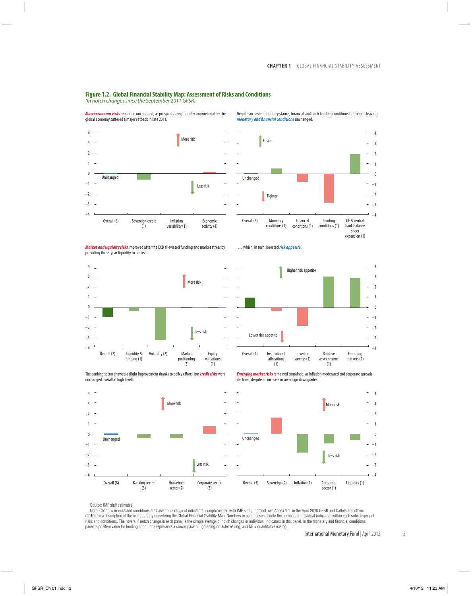# **Figure 1.2. Global Financial Stability Map: Assessment of Risks and Conditions**

(In notch changes since the September 2011 GFSR)

**Macroeconomic risks** remained unchanged, as prospects are gradually improving after the global economy suffered a major setback in late 2011.



Despite an easier monetary stance, financial and bank lending conditions tightened, leaving **monetary and 
nancial conditions**unchanged.



… which, in turn, boosted**risk appetite.**

**Market and liquidity risks**improved after the ECB alleviated funding and market stress by providing three-year liquidity to banks…



The banking sector showed a slight improvement thanks to policy efforts, but **credit risks** were unchanged overall at high levels.



**Emerging market risks** remained contained, as inflation moderated and corporate spreads declined, despite an increase in sovereign downgrades.



Source: IMF staff estimates.

Note: Changes in risks and conditions are based on a range of indicators, complemented with IMF staff judgment; see Annex 1.1. in the April 2010 GFSR and Dattels and others (2010) for a description of the methodology underlying the Global Financial Stability Map. Numbers in parentheses denote the number of individual indicators within each subcategory of risks and conditions. The "overall" notch change in each panel is the simple average of notch changes in individual indicators in that panel. In the monetary and financial conditions panel, a positive value for lending conditions represents a slower pace of tightening or faster easing, and  $QE =$  quantitative easing.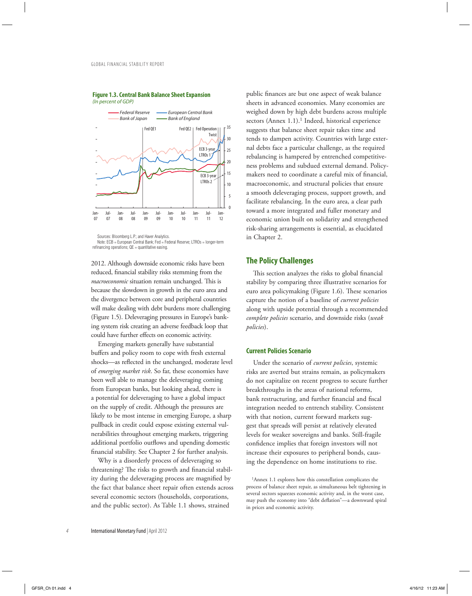

#### **Figure 1.3. Central Bank Balance Sheet Expansion** *(In percent of GDP)*

refinancing operations; QE = quantitative easing.

2012. Although downside economic risks have been reduced, financial stability risks stemming from the *macroeconomic* situation remain unchanged. This is because the slowdown in growth in the euro area and the divergence between core and peripheral countries will make dealing with debt burdens more challenging (Figure 1.5). Deleveraging pressures in Europe's banking system risk creating an adverse feedback loop that could have further effects on economic activity.

Emerging markets generally have substantial buffers and policy room to cope with fresh external shocks—as reflected in the unchanged, moderate level of *emerging market risk*. So far, these economies have been well able to manage the deleveraging coming from European banks, but looking ahead, there is a potential for deleveraging to have a global impact on the supply of credit. Although the pressures are likely to be most intense in emerging Europe, a sharp pullback in credit could expose existing external vulnerabilities throughout emerging markets, triggering additional portfolio outflows and upending domestic financial stability. See Chapter 2 for further analysis.

Why is a disorderly process of deleveraging so threatening? The risks to growth and financial stability during the deleveraging process are magnified by the fact that balance sheet repair often extends across several economic sectors (households, corporations, and the public sector). As Table 1.1 shows, strained

public finances are but one aspect of weak balance sheets in advanced economies. Many economies are weighed down by high debt burdens across multiple sectors (Annex 1.1).<sup>1</sup> Indeed, historical experience suggests that balance sheet repair takes time and tends to dampen activity. Countries with large external debts face a particular challenge, as the required rebalancing is hampered by entrenched competitiveness problems and subdued external demand. Policymakers need to coordinate a careful mix of financial, macroeconomic, and structural policies that ensure a smooth deleveraging process, support growth, and facilitate rebalancing. In the euro area, a clear path toward a more integrated and fuller monetary and economic union built on solidarity and strengthened risk-sharing arrangements is essential, as elucidated in Chapter 2.

# **The Policy Challenges**

This section analyzes the risks to global financial stability by comparing three illustrative scenarios for euro area policymaking (Figure 1.6). These scenarios capture the notion of a baseline of *current policies* along with upside potential through a recommended *complete policies* scenario, and downside risks (*weak policies*).

#### **Current Policies Scenario**

Under the scenario of *current policies*, systemic risks are averted but strains remain, as policymakers do not capitalize on recent progress to secure further breakthroughs in the areas of national reforms, bank restructuring, and further financial and fiscal integration needed to entrench stability. Consistent with that notion, current forward markets suggest that spreads will persist at relatively elevated levels for weaker sovereigns and banks. Still-fragile confidence implies that foreign investors will not increase their exposures to peripheral bonds, causing the dependence on home institutions to rise.

1Annex 1.1 explores how this constellation complicates the process of balance sheet repair, as simultaneous belt tightening in several sectors squeezes economic activity and, in the worst case, may push the economy into "debt deflation"—a downward spiral in prices and economic activity.

Sources: Bloomberg L.P.; and Haver Analytics. Note: ECB = European Central Bank; Fed = Federal Reserve; LTROs = longer-term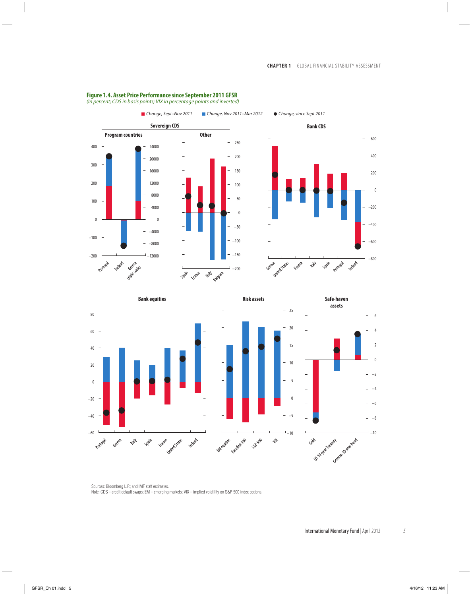#### **Sovereign CDS Program countries Other**  $\overline{\phantom{0}}$ 250 400 24000  $\overline{a}$ 200 20000 300 150 16000 200  $\sim$  $\bar{a}$ 12000 100  $\overline{a}$ 8000 50 100  $\overline{\phantom{a}}$ 4000 0  $\pmb{0}$ 0 –50 –4000  $\overline{\phantom{0}}$ –100  $\sim$ –100  $\overline{a}$ –8000 –150 –200  $-12000$ **Ireland** Greece Violticsale)  $-200$ Beldinn France Italy Spain





Sources: Bloomberg L.P.; and IMF staff estimates. Note: CDS = credit default swaps; EM = emerging markets; VIX = implied volatility on S&P 500 index options.

# International Monetary Fund *|* April 2012 *5*

# **Figure 1.4. Asset Price Performance since September 2011 GFSR**

(In percent; CDS in basis points; VIX in percentage points and inverted)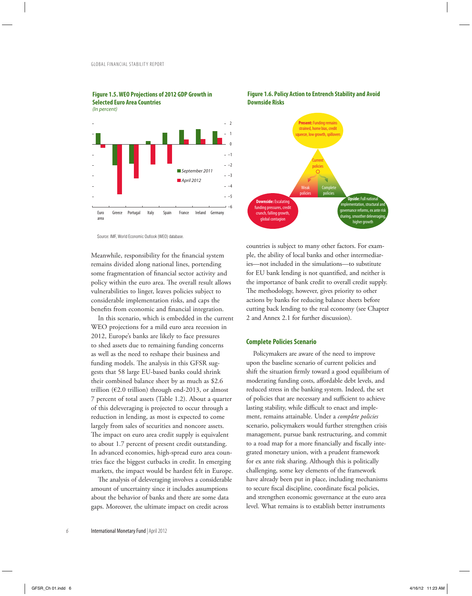

**Figure 1.5. WEO Projections of 2012 GDP Growth in Selected Euro Area Countries** (In percent)

Source: IMF, World Economic Outlook (WEO) database.

Meanwhile, responsibility for the financial system remains divided along national lines, portending some fragmentation of financial sector activity and policy within the euro area. The overall result allows vulnerabilities to linger, leaves policies subject to considerable implementation risks, and caps the benefits from economic and financial integration.

In this scenario, which is embedded in the current WEO projections for a mild euro area recession in 2012, Europe's banks are likely to face pressures to shed assets due to remaining funding concerns as well as the need to reshape their business and funding models. The analysis in this GFSR suggests that 58 large EU-based banks could shrink their combined balance sheet by as much as \$2.6 trillion ( $E2.0$  trillion) through end-2013, or almost 7 percent of total assets (Table 1.2). About a quarter of this deleveraging is projected to occur through a reduction in lending, as most is expected to come largely from sales of securities and noncore assets. The impact on euro area credit supply is equivalent to about 1.7 percent of present credit outstanding. In advanced economies, high-spread euro area countries face the biggest cutbacks in credit. In emerging markets, the impact would be hardest felt in Europe.

The analysis of deleveraging involves a considerable amount of uncertainty since it includes assumptions about the behavior of banks and there are some data gaps. Moreover, the ultimate impact on credit across



# **Figure 1.6. Policy Action to Entrench Stability and Avoid Downside Risks**

countries is subject to many other factors. For example, the ability of local banks and other intermediaries—not included in the simulations—to substitute for EU bank lending is not quantified, and neither is the importance of bank credit to overall credit supply. The methodology, however, gives priority to other actions by banks for reducing balance sheets before cutting back lending to the real economy (see Chapter 2 and Annex 2.1 for further discussion).

#### **Complete Policies Scenario**

Policymakers are aware of the need to improve upon the baseline scenario of current policies and shift the situation firmly toward a good equilibrium of moderating funding costs, affordable debt levels, and reduced stress in the banking system. Indeed, the set of policies that are necessary and sufficient to achieve lasting stability, while difficult to enact and implement, remains attainable. Under a *complete policies*  scenario, policymakers would further strengthen crisis management, pursue bank restructuring, and commit to a road map for a more financially and fiscally integrated monetary union, with a prudent framework for ex ante risk sharing. Although this is politically challenging, some key elements of the framework have already been put in place, including mechanisms to secure fiscal discipline, coordinate fiscal policies, and strengthen economic governance at the euro area level. What remains is to establish better instruments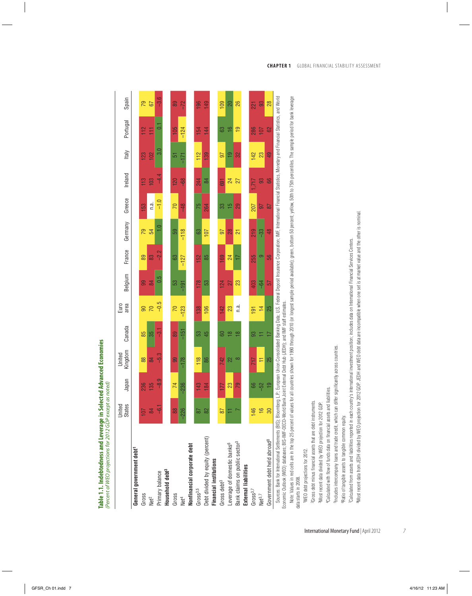| s noted                                                          |  |
|------------------------------------------------------------------|--|
|                                                                  |  |
| Percent of WEO projections for 2012 GDP except as                |  |
|                                                                  |  |
|                                                                  |  |
|                                                                  |  |
| Table 1.1. Indebtedness and Leverage in Selected Advanced Econom |  |

|                                                              | <b>States</b><br>United | Japan  | Kingdom<br>United                                                                                                                                                                | Canada         | Euro<br>area   | Belgium       | France | Germany | Greece        | Ireland             | <b>Italy</b>  | Portugal       | Spain         |
|--------------------------------------------------------------|-------------------------|--------|----------------------------------------------------------------------------------------------------------------------------------------------------------------------------------|----------------|----------------|---------------|--------|---------|---------------|---------------------|---------------|----------------|---------------|
| General government debt <sup>1</sup>                         |                         |        |                                                                                                                                                                                  |                |                |               |        |         |               |                     |               |                |               |
| Gross                                                        | 107                     | 236    | 88                                                                                                                                                                               | 85             | ၼ              | 8             | 89     | 79      | 153           | 113                 | 123           | 112            | 79            |
| Net <sup>2</sup>                                             | ≅                       | 135    | 54                                                                                                                                                                               | 35             | 2              | 84            | 83     | 54      | n.a.          | 103                 | 102           | Ε              | 67            |
| Primary balance                                              | $-6.1$                  | Ģ<br>ၛ | -5.3                                                                                                                                                                             | <b>RA</b>      | $-0.5$         | 0.5           | $-2.2$ | O       | $-1.0$        | 4<br>$\overline{4}$ | 3.0           | $\overline{0}$ | ဖ<br>ကို      |
| Household debt <sup>3</sup>                                  |                         |        |                                                                                                                                                                                  |                |                |               |        |         |               |                     |               |                |               |
| Gross                                                        | 88                      | 74     | ஜ                                                                                                                                                                                | 89             | 70             | S3            | 63     | 59      | 70            | 120                 | ပြ            | 105            | 89            |
| Net <sup>4</sup>                                             | $-226$                  | $-236$ | $-178$                                                                                                                                                                           | $\frac{5}{1}$  | $-123$         | $\frac{5}{1}$ | $-127$ | $-118$  | $\frac{8}{1}$ | $\frac{8}{9}$       | $-171$        | $-124$         | $-72$         |
| Nonfinancial corporate debt                                  |                         |        |                                                                                                                                                                                  |                |                |               |        |         |               |                     |               |                |               |
| Gross <sup>3,5</sup>                                         | 87                      | 143    | 118                                                                                                                                                                              | S3             | 138            | 178           | 152    | සි      | 75            | 244                 | 112           | 154            | 196           |
| Debt divided by equity (percent)                             | <u>လ</u>                | 184    | 86                                                                                                                                                                               | 45             | 106            | 53            | 85     | 107     | 264           | 84                  | 139           | 144            | 149           |
| <b>Financial institutions</b>                                |                         |        |                                                                                                                                                                                  |                |                |               |        |         |               |                     |               |                |               |
| Gross debt <sup>3</sup>                                      | 87                      | 177    | 742                                                                                                                                                                              | ටි             | 142            | 124           | 169    | 57      | 33            | 691                 | 57            | යි             | 109           |
| Leverage of domestic banks <sup>6</sup>                      |                         | 23     | 22                                                                                                                                                                               | ≌              | 23             | 27            | 24     | 28      | $\frac{5}{1}$ | 24                  | $\frac{1}{2}$ | $\frac{1}{2}$  | 20            |
| Bank claims on public sector <sup>3</sup>                    |                         | 79     | $\infty$                                                                                                                                                                         | $\frac{8}{10}$ | n.a.           | 23            | 17     | N       | 29            | 27                  | 32            | $\frac{1}{2}$  | 26            |
| <b>External liabilities</b>                                  |                         |        |                                                                                                                                                                                  |                |                |               |        |         |               |                     |               |                |               |
| Gross <sub>7</sub>                                           | 146                     | 89     | 717                                                                                                                                                                              | ႜ              | $\frac{5}{1}$  | 403           | 255    | 219     | 207           | 1.717               | 142           | 286            | 221           |
| Net <sup>3,7</sup>                                           | $\frac{6}{5}$           | $-52$  | ≓                                                                                                                                                                                |                | $\overline{4}$ | $-64$         | ၜ      | -33     | 56            | 93                  | 23            | 107            | 93            |
| Government debt held abroad <sup>8</sup>                     |                         | e+     | 25                                                                                                                                                                               | $\overline{1}$ | 25             | 57            | 99     | 48      | 78            | 89                  | 49            | 62             | $\frac{8}{2}$ |
| Sources: Bank for International Settlements (BIS): Bloomberg |                         |        | L.P.: European Union Consolidated Banking Data: U.S. Federal Deposit Insurance Corporation: IMF. International Faancial Statistics, Monetary and Financial Statistics, and World |                |                |               |        |         |               |                     |               |                |               |

Sources: Bank for International Settlements (BB); Bloomberg LE:, European Union Conscilidated Banking Data; U.S. Federal Deposit Insurance Corporation; MKF, International Financial Statistics, Monetary and Financial Statis oodussis zaim va muuntaavima osuusinen toiva), proomusti E-in, Larepean omen oonsonaad panning paas, ossi ise<br>Economic Outlook (WEO) databases; BIS-IMF-CECD-World Bank Joint External Debt Hub (JEDH); and IMF staff estimate Economic Outlook (WEO) databases; BIS-IMF-OECD-World Bank Joint External Debt Hub (JEDH); and IMF staff estimates.

Note: Values in red cells are in the top 25 percent of values for all countries shown for 1990 through 2010 (or longest sample period available); green, bottom 50 percent; yellow, 50th to 75th percentiles. The sample perio Nde: Values in red cells are in the top 25 percent of values for 1all osultivies shown for 1990 through 2010 (or longest sample period being as anale below, but the sample period for bank leverage data starts in 2008. data starts in 2008.

1WEO debt projections for 2012. 1WEO debt projections for 2012.

<sup>2</sup>Gross debt minus financial assets that are debt instruments. 2Gross debt minus financial assets that are debt instruments.

<sup>3</sup>Most recent data divided by WEO projection for 2012 GDP. 3Most recent data divided by WEO projection for 2012 GDP.

4Calculated with flow of funds data on financial assets and liabilities. 4Calculated with flow of funds data on financial assets and liabilities.

<sup>5</sup>Includes intercompany loans and trade credit, which can differ significantly across countries. 5Includes intercompany loans and trade credit, which can differ significantly across countries.

<sup>6</sup>Ratio of tangible assets to tangible common equity. 6Ratio of tangible assets to tangible common equity.

International Monetary Fund *|* April 2012

Calculated from assets and liabilities reported in each country's international investment position; includes data on International Financial Services Centers. 7Calculated from assets and liabilities reported in each country's international investment position; includes data on International Financial Services Centers.

Most recent data from JEDH divided by WEO projection for 2012 GDP. JEDH and WEO debt data are incompatible when one set is at market value and the other is nominal. 8Most recent data from JEDH divided by WEO projection for 2012 GDP. JEDH and WEO debt data are incompatible when one set is at market value and the other is nominal.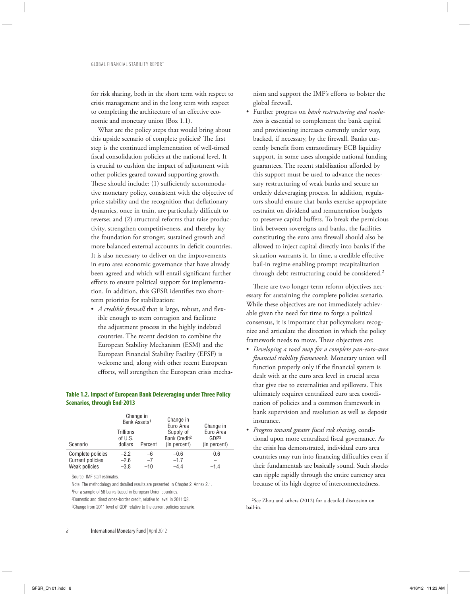for risk sharing, both in the short term with respect to crisis management and in the long term with respect to completing the architecture of an effective economic and monetary union (Box 1.1).

What are the policy steps that would bring about this upside scenario of complete policies? The first step is the continued implementation of well-timed fiscal consolidation policies at the national level. It is crucial to cushion the impact of adjustment with other policies geared toward supporting growth. These should include: (1) sufficiently accommodative monetary policy, consistent with the objective of price stability and the recognition that deflationary dynamics, once in train, are particularly difficult to reverse; and (2) structural reforms that raise productivity, strengthen competitiveness, and thereby lay the foundation for stronger, sustained growth and more balanced external accounts in deficit countries. It is also necessary to deliver on the improvements in euro area economic governance that have already been agreed and which will entail significant further efforts to ensure political support for implementation. In addition, this GFSR identifies two shortterm priorities for stabilization:

• *A credible firewall* that is large, robust, and flexible enough to stem contagion and facilitate the adjustment process in the highly indebted countries. The recent decision to combine the European Stability Mechanism (ESM) and the European Financial Stability Facility (EFSF) is welcome and, along with other recent European efforts, will strengthen the European crisis mecha-

# **Table 1.2. Impact of European Bank Deleveraging under Three Policy Scenarios, through End-2013**

|                                              | Change in<br>Bank Assets <sup>1</sup>  |            | Change in<br>Euro Area                                | Change in                                     |
|----------------------------------------------|----------------------------------------|------------|-------------------------------------------------------|-----------------------------------------------|
| Scenario                                     | <b>Trillions</b><br>of U.S.<br>dollars | Percent    | Supply of<br>Bank Credit <sup>2</sup><br>(in percent) | Euro Area<br>GDP <sup>3</sup><br>(in percent) |
| Complete policies<br><b>Current policies</b> | $-2.2$<br>$-2.6$                       | -6<br>$-7$ | $-0.6$<br>$-1.7$                                      | 0.6                                           |
| Weak policies                                | $-3.8$                                 | $-10$      | $-4.4$                                                | $-1.4$                                        |

Source: IMF staff estimates.

Note: The methodology and detailed results are presented in Chapter 2, Annex 2.1.

<sup>1</sup>For a sample of 58 banks based in European Union countries.

2Domestic and direct cross-border credit, relative to level in 2011:Q3.

3Change from 2011 level of GDP relative to the current policies scenario.

nism and support the IMF's efforts to bolster the global firewall.

• Further progress on *bank restructuring and resolution* is essential to complement the bank capital and provisioning increases currently under way, backed, if necessary, by the firewall. Banks currently benefit from extraordinary ECB liquidity support, in some cases alongside national funding guarantees. The recent stabilization afforded by this support must be used to advance the necessary restructuring of weak banks and secure an orderly deleveraging process. In addition, regulators should ensure that banks exercise appropriate restraint on dividend and remuneration budgets to preserve capital buffers. To break the pernicious link between sovereigns and banks, the facilities constituting the euro area firewall should also be allowed to inject capital directly into banks if the situation warrants it. In time, a credible effective bail-in regime enabling prompt recapitalization through debt restructuring could be considered.2

There are two longer-term reform objectives necessary for sustaining the complete policies scenario. While these objectives are not immediately achievable given the need for time to forge a political consensus, it is important that policymakers recognize and articulate the direction in which the policy framework needs to move. These objectives are:

- *Developing a road map for a complete pan-euro-area financial stability framework*. Monetary union will function properly only if the financial system is dealt with at the euro area level in crucial areas that give rise to externalities and spillovers. This ultimately requires centralized euro area coordination of policies and a common framework in bank supervision and resolution as well as deposit insurance.
- *Progress toward greater fiscal risk sharing*, conditional upon more centralized fiscal governance. As the crisis has demonstrated, individual euro area countries may run into financing difficulties even if their fundamentals are basically sound. Such shocks can ripple rapidly through the entire currency area because of its high degree of interconnectedness.

2See Zhou and others (2012) for a detailed discussion on bail-in.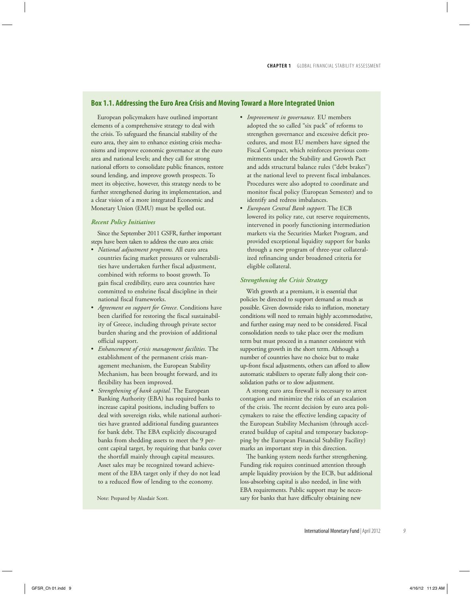# **Box 1.1. Addressing the Euro Area Crisis and Moving Toward a More Integrated Union**

European policymakers have outlined important elements of a comprehensive strategy to deal with the crisis. To safeguard the financial stability of the euro area, they aim to enhance existing crisis mechanisms and improve economic governance at the euro area and national levels; and they call for strong national efforts to consolidate public finances, restore sound lending, and improve growth prospects. To meet its objective, however, this strategy needs to be further strengthened during its implementation, and a clear vision of a more integrated Economic and Monetary Union (EMU) must be spelled out.

# *Recent Policy Initiatives*

Since the September 2011 GSFR, further important steps have been taken to address the euro area crisis:

- *National adjustment programs.* All euro area countries facing market pressures or vulnerabilities have undertaken further fiscal adjustment, combined with reforms to boost growth. To gain fiscal credibility, euro area countries have committed to enshrine fiscal discipline in their national fiscal frameworks.
- *Agreement on support for Greece*. Conditions have been clarified for restoring the fiscal sustainability of Greece, including through private sector burden sharing and the provision of additional official support.
- *Enhancement of crisis management facilities.* The establishment of the permanent crisis management mechanism, the European Stability Mechanism, has been brought forward, and its flexibility has been improved.
- *Strengthening of bank capital.* The European Banking Authority (EBA) has required banks to increase capital positions, including buffers to deal with sovereign risks, while national authorities have granted additional funding guarantees for bank debt. The EBA explicitly discouraged banks from shedding assets to meet the 9 percent capital target, by requiring that banks cover the shortfall mainly through capital measures. Asset sales may be recognized toward achievement of the EBA target only if they do not lead to a reduced flow of lending to the economy.

Note: Prepared by Alasdair Scott.

- *Improvement in governance.* EU members adopted the so called "six pack" of reforms to strengthen governance and excessive deficit procedures, and most EU members have signed the Fiscal Compact, which reinforces previous commitments under the Stability and Growth Pact and adds structural balance rules ("debt brakes") at the national level to prevent fiscal imbalances. Procedures were also adopted to coordinate and monitor fiscal policy (European Semester) and to identify and redress imbalances.
- *European Central Bank support.* The ECB lowered its policy rate, cut reserve requirements, intervened in poorly functioning intermediation markets via the Securities Market Program, and provided exceptional liquidity support for banks through a new program of three-year collateralized refinancing under broadened criteria for eligible collateral.

# *Strengthening the Crisis Strategy*

With growth at a premium, it is essential that policies be directed to support demand as much as possible. Given downside risks to inflation, monetary conditions will need to remain highly accommodative, and further easing may need to be considered. Fiscal consolidation needs to take place over the medium term but must proceed in a manner consistent with supporting growth in the short term. Although a number of countries have no choice but to make up-front fiscal adjustments, others can afford to allow automatic stabilizers to operate fully along their consolidation paths or to slow adjustment.

A strong euro area firewall is necessary to arrest contagion and minimize the risks of an escalation of the crisis. The recent decision by euro area policymakers to raise the effective lending capacity of the European Stability Mechanism (through accelerated buildup of capital and temporary backstopping by the European Financial Stability Facility) marks an important step in this direction.

The banking system needs further strengthening. Funding risk requires continued attention through ample liquidity provision by the ECB, but additional loss-absorbing capital is also needed, in line with EBA requirements. Public support may be necessary for banks that have difficulty obtaining new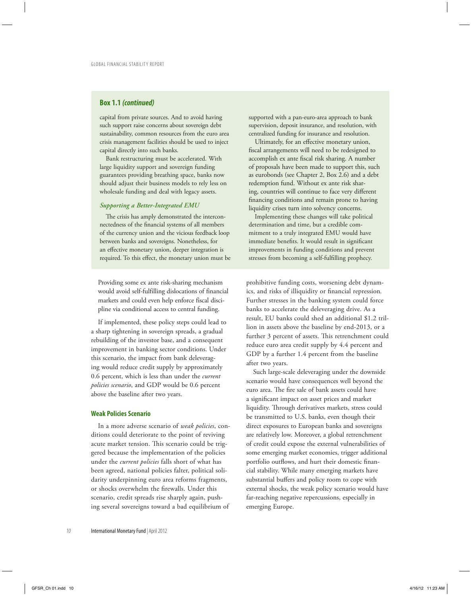# **Box 1.1** *(continued)*

capital from private sources. And to avoid having such support raise concerns about sovereign debt sustainability, common resources from the euro area crisis management facilities should be used to inject capital directly into such banks.

Bank restructuring must be accelerated. With large liquidity support and sovereign funding guarantees providing breathing space, banks now should adjust their business models to rely less on wholesale funding and deal with legacy assets.

# *Supporting a Better-Integrated EMU*

The crisis has amply demonstrated the interconnectedness of the financial systems of all members of the currency union and the vicious feedback loop between banks and sovereigns. Nonetheless, for an effective monetary union, deeper integration is required. To this effect, the monetary union must be

Providing some ex ante risk-sharing mechanism would avoid self-fulfilling dislocations of financial markets and could even help enforce fiscal discipline via conditional access to central funding.

If implemented, these policy steps could lead to a sharp tightening in sovereign spreads, a gradual rebuilding of the investor base, and a consequent improvement in banking sector conditions. Under this scenario, the impact from bank deleveraging would reduce credit supply by approximately 0.6 percent, which is less than under the *current policies scenario*, and GDP would be 0.6 percent above the baseline after two years.

#### **Weak Policies Scenario**

In a more adverse scenario of *weak policies*, conditions could deteriorate to the point of reviving acute market tension. This scenario could be triggered because the implementation of the policies under the *current policies* falls short of what has been agreed, national policies falter, political solidarity underpinning euro area reforms fragments, or shocks overwhelm the firewalls. Under this scenario, credit spreads rise sharply again, pushing several sovereigns toward a bad equilibrium of supported with a pan-euro-area approach to bank supervision, deposit insurance, and resolution, with centralized funding for insurance and resolution.

Ultimately, for an effective monetary union, fiscal arrangements will need to be redesigned to accomplish ex ante fiscal risk sharing. A number of proposals have been made to support this, such as eurobonds (see Chapter 2, Box 2.6) and a debt redemption fund. Without ex ante risk sharing, countries will continue to face very different financing conditions and remain prone to having liquidity crises turn into solvency concerns.

Implementing these changes will take political determination and time, but a credible commitment to a truly integrated EMU would have immediate benefits. It would result in significant improvements in funding conditions and prevent stresses from becoming a self-fulfilling prophecy.

prohibitive funding costs, worsening debt dynamics, and risks of illiquidity or financial repression*.*  Further stresses in the banking system could force banks to accelerate the deleveraging drive. As a result, EU banks could shed an additional \$1.2 trillion in assets above the baseline by end-2013, or a further 3 percent of assets. This retrenchment could reduce euro area credit supply by 4.4 percent and GDP by a further 1.4 percent from the baseline after two years.

Such large-scale deleveraging under the downside scenario would have consequences well beyond the euro area. The fire sale of bank assets could have a significant impact on asset prices and market liquidity. Through derivatives markets, stress could be transmitted to U.S. banks, even though their direct exposures to European banks and sovereigns are relatively low. Moreover, a global retrenchment of credit could expose the external vulnerabilities of some emerging market economies, trigger additional portfolio outflows, and hurt their domestic financial stability. While many emerging markets have substantial buffers and policy room to cope with external shocks, the weak policy scenario would have far-reaching negative repercussions, especially in emerging Europe.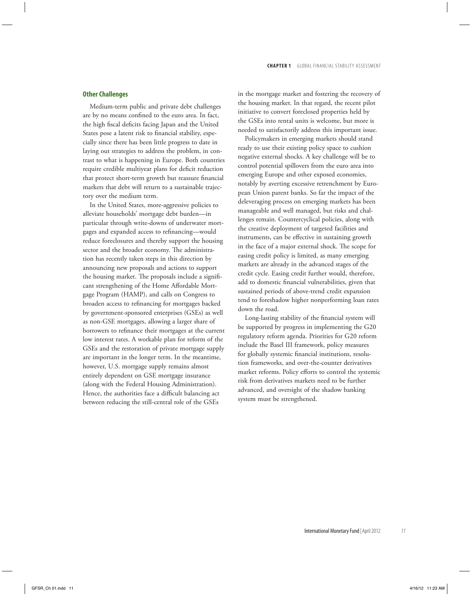### **Other Challenges**

Medium-term public and private debt challenges are by no means confined to the euro area. In fact, the high fiscal deficits facing Japan and the United States pose a latent risk to financial stability, especially since there has been little progress to date in laying out strategies to address the problem, in contrast to what is happening in Europe. Both countries require credible multiyear plans for deficit reduction that protect short-term growth but reassure financial markets that debt will return to a sustainable trajectory over the medium term.

In the United States, more-aggressive policies to alleviate households' mortgage debt burden—in particular through write-downs of underwater mortgages and expanded access to refinancing—would reduce foreclosures and thereby support the housing sector and the broader economy. The administration has recently taken steps in this direction by announcing new proposals and actions to support the housing market. The proposals include a significant strengthening of the Home Affordable Mortgage Program (HAMP), and calls on Congress to broaden access to refinancing for mortgages backed by government-sponsored enterprises (GSEs) as well as non-GSE mortgages, allowing a larger share of borrowers to refinance their mortgages at the current low interest rates. A workable plan for reform of the GSEs and the restoration of private mortgage supply are important in the longer term. In the meantime, however, U.S. mortgage supply remains almost entirely dependent on GSE mortgage insurance (along with the Federal Housing Administration). Hence, the authorities face a difficult balancing act between reducing the still-central role of the GSEs

in the mortgage market and fostering the recovery of the housing market. In that regard, the recent pilot initiative to convert foreclosed properties held by the GSEs into rental units is welcome, but more is needed to satisfactorily address this important issue.

Policymakers in emerging markets should stand ready to use their existing policy space to cushion negative external shocks. A key challenge will be to control potential spillovers from the euro area into emerging Europe and other exposed economies, notably by averting excessive retrenchment by European Union parent banks. So far the impact of the deleveraging process on emerging markets has been manageable and well managed, but risks and challenges remain. Countercyclical policies, along with the creative deployment of targeted facilities and instruments, can be effective in sustaining growth in the face of a major external shock. The scope for easing credit policy is limited, as many emerging markets are already in the advanced stages of the credit cycle. Easing credit further would, therefore, add to domestic financial vulnerabilities, given that sustained periods of above-trend credit expansion tend to foreshadow higher nonperforming loan rates down the road.

Long-lasting stability of the financial system will be supported by progress in implementing the G20 regulatory reform agenda. Priorities for G20 reform include the Basel III framework, policy measures for globally systemic financial institutions, resolution frameworks, and over-the-counter derivatives market reforms. Policy efforts to control the systemic risk from derivatives markets need to be further advanced, and oversight of the shadow banking system must be strengthened.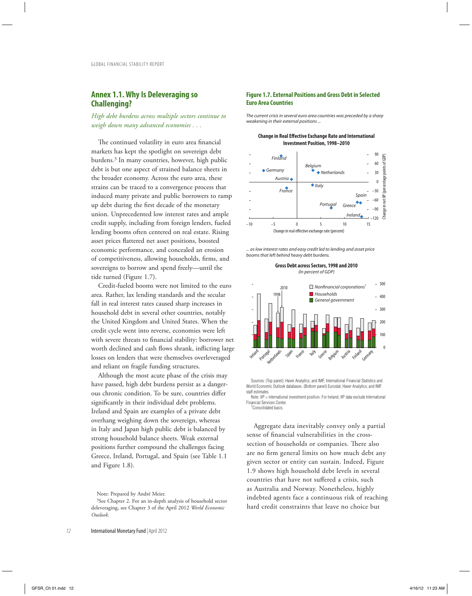# **Annex 1.1. Why Is Deleveraging so Challenging?**

# *High debt burdens across multiple sectors continue to weigh down many advanced economies . . .*

The continued volatility in euro area financial markets has kept the spotlight on sovereign debt burdens.3 In many countries, however, high public debt is but one aspect of strained balance sheets in the broader economy. Across the euro area, these strains can be traced to a convergence process that induced many private and public borrowers to ramp up debt during the first decade of the monetary union. Unprecedented low interest rates and ample credit supply, including from foreign lenders, fueled lending booms often centered on real estate. Rising asset prices flattered net asset positions, boosted economic performance, and concealed an erosion of competitiveness, allowing households, firms, and sovereigns to borrow and spend freely—until the tide turned (Figure 1.7).

Credit-fueled booms were not limited to the euro area. Rather, lax lending standards and the secular fall in real interest rates caused sharp increases in household debt in several other countries, notably the United Kingdom and United States. When the credit cycle went into reverse, economies were left with severe threats to financial stability: borrower net worth declined and cash flows shrank, inflicting large losses on lenders that were themselves overleveraged and reliant on fragile funding structures.

Although the most acute phase of the crisis may have passed, high debt burdens persist as a dangerous chronic condition. To be sure, countries differ significantly in their individual debt problems. Ireland and Spain are examples of a private debt overhang weighing down the sovereign, whereas in Italy and Japan high public debt is balanced by strong household balance sheets. Weak external positions further compound the challenges facing Greece, Ireland, Portugal, and Spain (see Table 1.1 and Figure 1.8).

# **Figure 1.7. External Positions and Gross Debt in Selected Euro Area Countries**

*The current crisis in several euro area countries was preceded by a sharp weakening in their external positions ...*

**Change in Real Effective Exchange Rate and International Investment Position, 1998–2010**



*... as low interest rates and easy credit led to lending and asset price booms that left behind heavy debt burdens.*

> **Gross Debt across Sectors, 1998 and 2010** *(In percent of GDP)*



Sources: (Top panel): Haver Analytics; and IMF, International Financial Statistics and World Economic Outlook databases. (Bottom panel) Eurostat; Haver Analytics; and IMF staff estimates.

Note: IIP = international investment position. For Ireland, IIP data exclude International Financial Services Center. <sup>1</sup>

<sup>1</sup>Consolidated basis.

Aggregate data inevitably convey only a partial sense of financial vulnerabilities in the crosssection of households or companies. There also are no firm general limits on how much debt any given sector or entity can sustain. Indeed, Figure 1.9 shows high household debt levels in several countries that have not suffered a crisis, such as Australia and Norway. Nonetheless, highly indebted agents face a continuous risk of reaching hard credit constraints that leave no choice but

Note: Prepared by André Meier.

<sup>&</sup>lt;sup>3</sup>See Chapter 2. For an in-depth analysis of household sector deleveraging, see Chapter 3 of the April 2012 *World Economic Outlook*.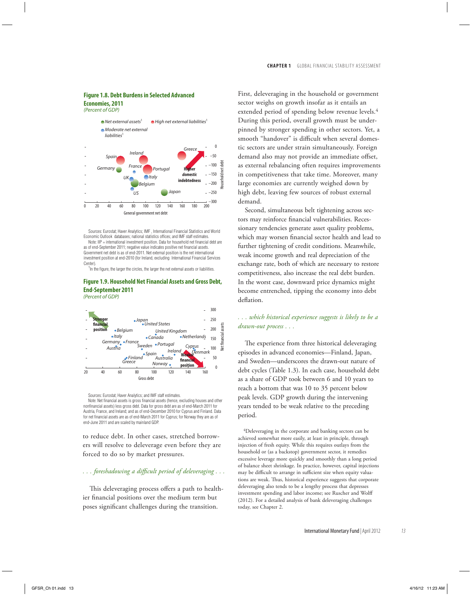#### **Figure 1.8. Debt Burdens in Selected Advanced Economies, 2011** *(Percent of GDP)*



Sources: Eurostat; Haver Analytics; IMF , International Financial Statistics and World Economic Outlook databases; national statistics offices; and IMF staff estimates. Note: IIP = international investment position. Data for household net financial debt are as of end-September 2011; negative value indicates positive net financial assets. Government net debt is as of end-2011. Net external position is the net international investment position at end-2010 (for Ireland, excluding International Financial Services Center)

 $<sup>1</sup>$ In the figure, the larger the circles, the larger the net external assets or liabilities.</sup>

#### **Figure 1.9. Household Net Financial Assets and Gross Debt, End-September 2011** (Percent of GDP)

300



Sources: Eurostat; Haver Analytics; and IMF staff estimates.

Note: Net financial assets is gross financial assets (hence, excluding houses and other nonfinancial assets) less gross debt. Data for gross debt are as of end-March 2011 for Austria, France, and Ireland; and as of end-December 2010 for Cyprus and Finland. Data for net financial assets are as of end-March 2011 for Cyprus; for Norway they are as of end-June 2011 and are scaled by mainland GDP.

to reduce debt. In other cases, stretched borrowers will resolve to deleverage even before they are forced to do so by market pressures.

# *. . . foreshadowing a difficult period of deleveraging . . .*

This deleveraging process offers a path to healthier financial positions over the medium term but poses significant challenges during the transition.

First, deleveraging in the household or government sector weighs on growth insofar as it entails an extended period of spending below revenue levels.<sup>4</sup> During this period, overall growth must be underpinned by stronger spending in other sectors. Yet, a smooth "handover" is difficult when several domestic sectors are under strain simultaneously. Foreign demand also may not provide an immediate offset, as external rebalancing often requires improvements in competitiveness that take time. Moreover, many large economies are currently weighed down by high debt, leaving few sources of robust external demand.

Second, simultaneous belt tightening across sectors may reinforce financial vulnerabilities. Recessionary tendencies generate asset quality problems, which may worsen financial sector health and lead to further tightening of credit conditions. Meanwhile, weak income growth and real depreciation of the exchange rate, both of which are necessary to restore competitiveness, also increase the real debt burden. In the worst case, downward price dynamics might become entrenched, tipping the economy into debt deflation.

# *. . . which historical experience suggests is likely to be a drawn-out process . . .*

The experience from three historical deleveraging episodes in advanced economies—Finland, Japan, and Sweden—underscores the drawn-out nature of debt cycles (Table 1.3). In each case, household debt as a share of GDP took between 6 and 10 years to reach a bottom that was 10 to 35 percent below peak levels. GDP growth during the intervening years tended to be weak relative to the preceding period.

4Deleveraging in the corporate and banking sectors can be achieved somewhat more easily, at least in principle, through injection of fresh equity. While this requires outlays from the household or (as a backstop) government sector, it remedies excessive leverage more quickly and smoothly than a long period of balance sheet shrinkage. In practice, however, capital injections may be difficult to arrange in sufficient size when equity valuations are weak. Thus, historical experience suggests that corporate deleveraging also tends to be a lengthy process that depresses investment spending and labor income; see Ruscher and Wolff (2012). For a detailed analysis of bank deleveraging challenges today, see Chapter 2.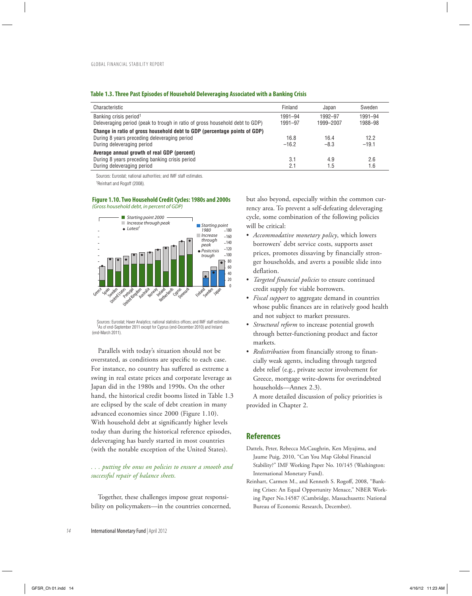#### **Table 1.3. Three Past Episodes of Household Deleveraging Associated with a Banking Crisis**

| Characteristic                                                                                                     | Finland            | Japan                | Sweden             |
|--------------------------------------------------------------------------------------------------------------------|--------------------|----------------------|--------------------|
| Banking crisis period <sup>1</sup><br>Deleveraging period (peak to trough in ratio of gross household debt to GDP) | 1991-94<br>1991-97 | 1992-97<br>1999-2007 | 1991-94<br>1988-98 |
| Change in ratio of gross household debt to GDP (percentage points of GDP)                                          |                    |                      |                    |
| During 8 years preceding deleveraging period                                                                       | 16.8               | 16.4                 | 12.2               |
| During deleveraging period                                                                                         | $-16.2$            | $-8.3$               | $-19.1$            |
| Average annual growth of real GDP (percent)                                                                        |                    |                      |                    |
| During 8 years preceding banking crisis period                                                                     | 3.1                | 4.9                  | 2.6                |
| During deleveraging period                                                                                         | 2.1                | 1.5                  | 1.6                |

Sources: Eurostat; national authorities; and IMF staff estimates. 1Reinhart and Rogoff (2008).

#### **Figure 1.10. Two Household Credit Cycles: 1980s and 2000s** (Gross household debt, in percent of GDP)



Sources: Eurostat; Haver Analytics; national statistics offices; and IMF staff estimates. <sup>1</sup>As of end-September 2011 except for Cyprus (end-December 2010) and Ireland (end-March 2011).

Parallels with today's situation should not be overstated, as conditions are specific to each case. For instance, no country has suffered as extreme a swing in real estate prices and corporate leverage as Japan did in the 1980s and 1990s. On the other hand, the historical credit booms listed in Table 1.3 are eclipsed by the scale of debt creation in many advanced economies since 2000 (Figure 1.10). With household debt at significantly higher levels today than during the historical reference episodes, deleveraging has barely started in most countries (with the notable exception of the United States).

*. . . putting the onus on policies to ensure a smooth and successful repair of balance sheets.*

Together, these challenges impose great responsibility on policymakers—in the countries concerned,

but also beyond, especially within the common currency area. To prevent a self-defeating deleveraging cycle, some combination of the following policies will be critical:

- *Accommodative monetary policy*, which lowers borrowers' debt service costs, supports asset prices, promotes dissaving by financially stronger households, and averts a possible slide into deflation.
- *Targeted financial policies* to ensure continued credit supply for viable borrowers.
- *Fiscal support* to aggregate demand in countries whose public finances are in relatively good health and not subject to market pressures.
- Structural reform to increase potential growth through better-functioning product and factor markets.
- *Redistribution* from financially strong to financially weak agents, including through targeted debt relief (e.g., private sector involvement for Greece, mortgage write-downs for overindebted households—Annex 2.3).

A more detailed discussion of policy priorities is provided in Chapter 2.

# **References**

- Dattels, Peter, Rebecca McCaughrin, Ken Miyajima, and Jaume Puig, 2010, "Can You Map Global Financial Stability?" IMF Working Paper No. 10/145 (Washington: International Monetary Fund).
- Reinhart, Carmen M., and Kenneth S. Rogoff, 2008, "Banking Crises: An Equal Opportunity Menace," NBER Working Paper No.14587 (Cambridge, Massachusetts: National Bureau of Economic Research, December).